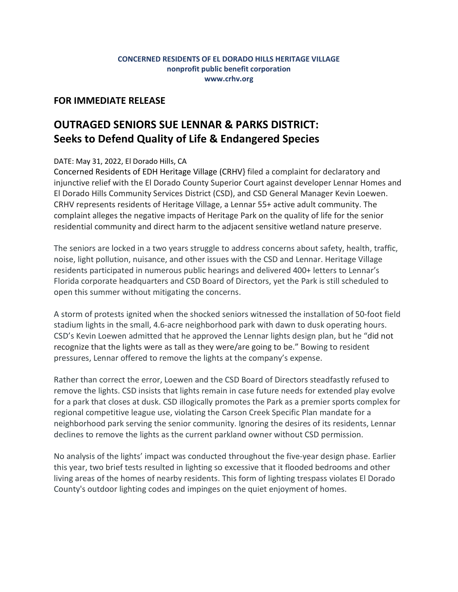### **FOR IMMEDIATE RELEASE**

### **OUTRAGED SENIORS SUE LENNAR & PARKS DISTRICT: Seeks to Defend Quality of Life & Endangered Species**

### DATE: May 31, 2022, El Dorado Hills, CA

Concerned Residents of EDH Heritage Village (CRHV} filed a complaint for declaratory and injunctive relief with the El Dorado County Superior Court against developer Lennar Homes and El Dorado Hills Community Services District (CSD), and CSD General Manager Kevin Loewen. CRHV represents residents of Heritage Village, a Lennar 55+ active adult community. The complaint alleges the negative impacts of Heritage Park on the quality of life for the senior residential community and direct harm to the adjacent sensitive wetland nature preserve.

The seniors are locked in a two years struggle to address concerns about safety, health, traffic, noise, light pollution, nuisance, and other issues with the CSD and Lennar. Heritage Village residents participated in numerous public hearings and delivered 400+ letters to Lennar's Florida corporate headquarters and CSD Board of Directors, yet the Park is still scheduled to open this summer without mitigating the concerns.

A storm of protests ignited when the shocked seniors witnessed the installation of 50-foot field stadium lights in the small, 4.6-acre neighborhood park with dawn to dusk operating hours. CSD's Kevin Loewen admitted that he approved the Lennar lights design plan, but he "did not recognize that the lights were as tall as they were/are going to be." Bowing to resident pressures, Lennar offered to remove the lights at the company's expense.

Rather than correct the error, Loewen and the CSD Board of Directors steadfastly refused to remove the lights. CSD insists that lights remain in case future needs for extended play evolve for a park that closes at dusk. CSD illogically promotes the Park as a premier sports complex for regional competitive league use, violating the Carson Creek Specific Plan mandate for a neighborhood park serving the senior community. Ignoring the desires of its residents, Lennar declines to remove the lights as the current parkland owner without CSD permission.

No analysis of the lights' impact was conducted throughout the five-year design phase. Earlier this year, two brief tests resulted in lighting so excessive that it flooded bedrooms and other living areas of the homes of nearby residents. This form of lighting trespass violates El Dorado County's outdoor lighting codes and impinges on the quiet enjoyment of homes.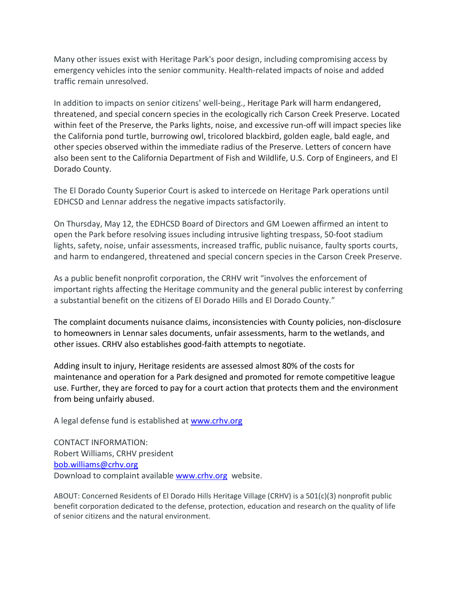Many other issues exist with Heritage Park's poor design, including compromising access by emergency vehicles into the senior community. Health-related impacts of noise and added traffic remain unresolved.

In addition to impacts on senior citizens' well-being., Heritage Park will harm endangered, threatened, and special concern species in the ecologically rich Carson Creek Preserve. Located within feet of the Preserve, the Parks lights, noise, and excessive run-off will impact species like the California pond turtle, burrowing owl, tricolored blackbird, golden eagle, bald eagle, and other species observed within the immediate radius of the Preserve. Letters of concern have also been sent to the California Department of Fish and Wildlife, U.S. Corp of Engineers, and El Dorado County.

The El Dorado County Superior Court is asked to intercede on Heritage Park operations until EDHCSD and Lennar address the negative impacts satisfactorily.

On Thursday, May 12, the EDHCSD Board of Directors and GM Loewen affirmed an intent to open the Park before resolving issues including intrusive lighting trespass, 50-foot stadium lights, safety, noise, unfair assessments, increased traffic, public nuisance, faulty sports courts, and harm to endangered, threatened and special concern species in the Carson Creek Preserve.

As a public benefit nonprofit corporation, the CRHV writ "involves the enforcement of important rights affecting the Heritage community and the general public interest by conferring a substantial benefit on the citizens of El Dorado Hills and El Dorado County."

The complaint documents nuisance claims, inconsistencies with County policies, non-disclosure to homeowners in Lennar sales documents, unfair assessments, harm to the wetlands, and other issues. CRHV also establishes good-faith attempts to negotiate.

Adding insult to injury, Heritage residents are assessed almost 80% of the costs for maintenance and operation for a Park designed and promoted for remote competitive league use. Further, they are forced to pay for a court action that protects them and the environment from being unfairly abused.

A legal defense fund is established at www.crhv.org

CONTACT INFORMATION: Robert Williams, CRHV president [bob.williams@crhv.org](about:blank)  Download to complaint available [www.crhv.org](http://www.crhv.org/) website.

ABOUT: Concerned Residents of El Dorado Hills Heritage Village (CRHV) is a 501(c)(3) nonprofit public benefit corporation dedicated to the defense, protection, education and research on the quality of life of senior citizens and the natural environment.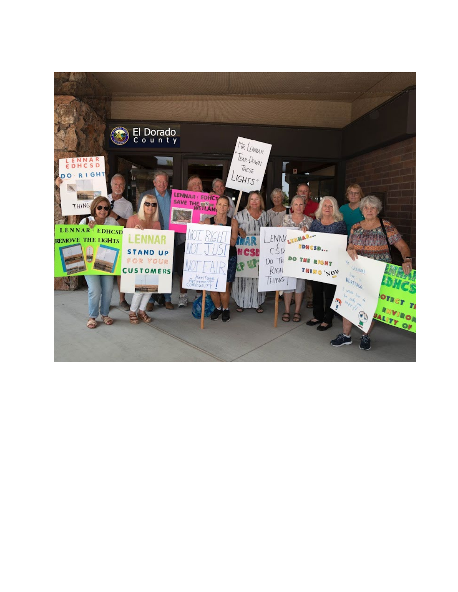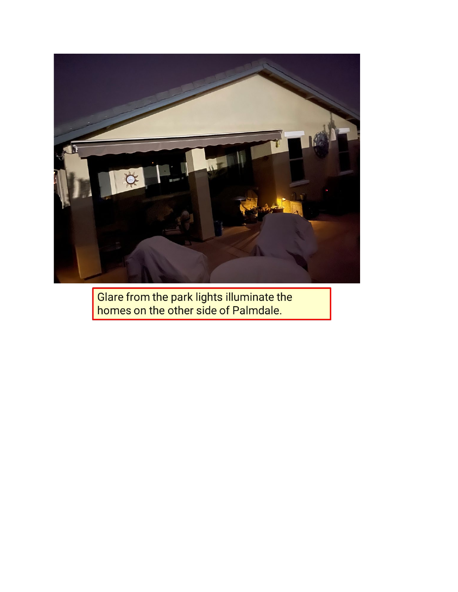

Glare from the park lights illuminate the<br>homes on the other side of Palmdale.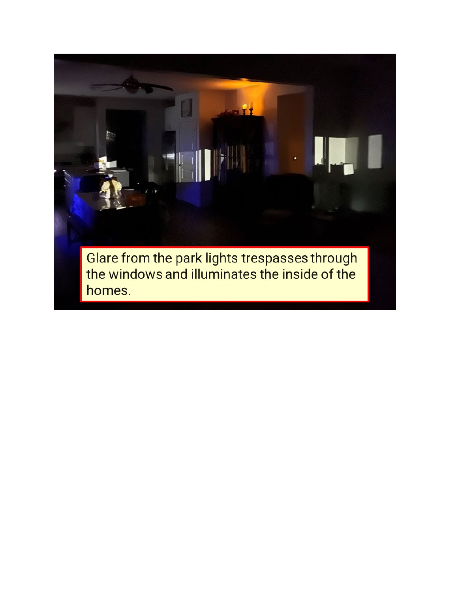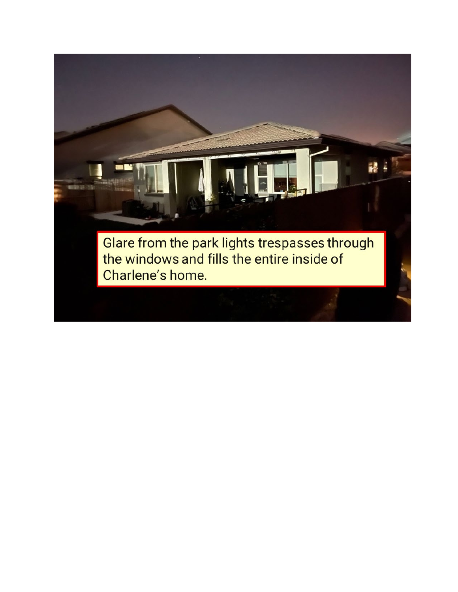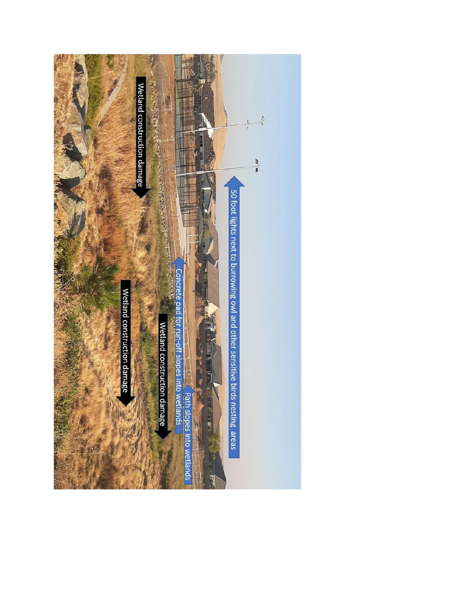